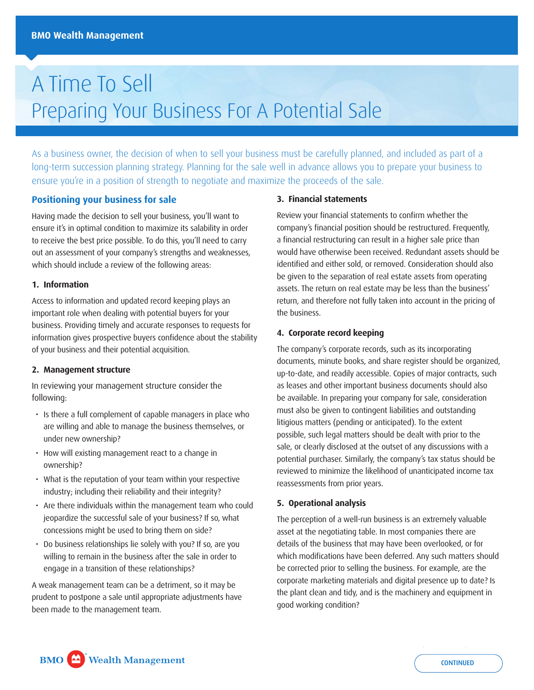# A Time To Sell Preparing Your Business For A Potential Sale

As a business owner, the decision of when to sell your business must be carefully planned, and included as part of a long-term succession planning strategy. Planning for the sale well in advance allows you to prepare your business to ensure you're in a position of strength to negotiate and maximize the proceeds of the sale.

# **Positioning your business for sale**

Having made the decision to sell your business, you'll want to ensure it's in optimal condition to maximize its salability in order to receive the best price possible. To do this, you'll need to carry out an assessment of your company's strengths and weaknesses, which should include a review of the following areas:

#### **1. Information**

Access to information and updated record keeping plays an important role when dealing with potential buyers for your business. Providing timely and accurate responses to requests for information gives prospective buyers confidence about the stability of your business and their potential acquisition.

#### **2. Management structure**

In reviewing your management structure consider the following:

- Is there a full complement of capable managers in place who are willing and able to manage the business themselves, or under new ownership?
- How will existing management react to a change in ownership?
- What is the reputation of your team within your respective industry; including their reliability and their integrity?
- Are there individuals within the management team who could jeopardize the successful sale of your business? If so, what concessions might be used to bring them on side?
- Do business relationships lie solely with you? If so, are you willing to remain in the business after the sale in order to engage in a transition of these relationships?

A weak management team can be a detriment, so it may be prudent to postpone a sale until appropriate adjustments have been made to the management team.

#### **3. Financial statements**

Review your fnancial statements to confrm whether the company's fnancial position should be restructured. Frequently, a financial restructuring can result in a higher sale price than would have otherwise been received. Redundant assets should be identifed and either sold, or removed. Consideration should also be given to the separation of real estate assets from operating assets. The return on real estate may be less than the business' return, and therefore not fully taken into account in the pricing of the business.

#### **4. Corporate record keeping**

The company's corporate records, such as its incorporating documents, minute books, and share register should be organized, up-to-date, and readily accessible. Copies of major contracts, such as leases and other important business documents should also be available. In preparing your company for sale, consideration must also be given to contingent liabilities and outstanding litigious matters (pending or anticipated). To the extent possible, such legal matters should be dealt with prior to the sale, or clearly disclosed at the outset of any discussions with a potential purchaser. Similarly, the company's tax status should be reviewed to minimize the likelihood of unanticipated income tax reassessments from prior years.

#### **5. Operational analysis**

The perception of a well-run business is an extremely valuable asset at the negotiating table. In most companies there are details of the business that may have been overlooked, or for which modifications have been deferred. Any such matters should be corrected prior to selling the business. For example, are the corporate marketing materials and digital presence up to date? Is the plant clean and tidy, and is the machinery and equipment in good working condition?